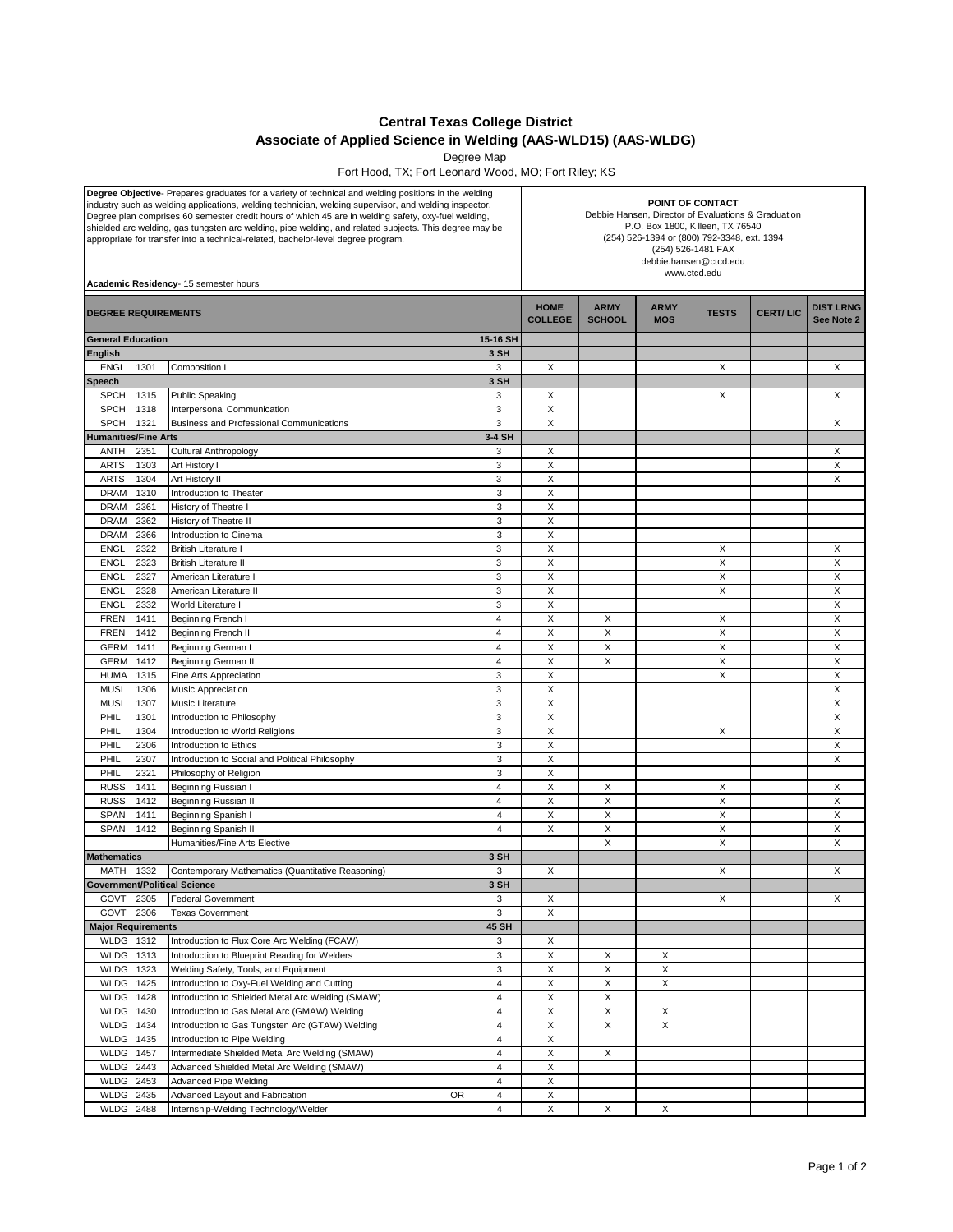## **Central Texas College District Associate of Applied Science in Welding (AAS-WLD15) (AAS-WLDG)**

Degree Map

Fort Hood, TX; Fort Leonard Wood, MO; Fort Riley; KS

| Degree Objective- Prepares graduates for a variety of technical and welding positions in the welding<br>industry such as welding applications, welding technician, welding supervisor, and welding inspector.<br>Degree plan comprises 60 semester credit hours of which 45 are in welding safety, oxy-fuel welding,<br>shielded arc welding, gas tungsten arc welding, pipe welding, and related subjects. This degree may be<br>appropriate for transfer into a technical-related, bachelor-level degree program.<br>Academic Residency- 15 semester hours |                                                       |                     | POINT OF CONTACT<br>Debbie Hansen, Director of Evaluations & Graduation<br>P.O. Box 1800, Killeen, TX 76540<br>(254) 526-1394 or (800) 792-3348, ext. 1394<br>(254) 526-1481 FAX<br>debbie.hansen@ctcd.edu<br>www.ctcd.edu |                              |                           |              |                 |                                |
|--------------------------------------------------------------------------------------------------------------------------------------------------------------------------------------------------------------------------------------------------------------------------------------------------------------------------------------------------------------------------------------------------------------------------------------------------------------------------------------------------------------------------------------------------------------|-------------------------------------------------------|---------------------|----------------------------------------------------------------------------------------------------------------------------------------------------------------------------------------------------------------------------|------------------------------|---------------------------|--------------|-----------------|--------------------------------|
| <b>DEGREE REQUIREMENTS</b>                                                                                                                                                                                                                                                                                                                                                                                                                                                                                                                                   |                                                       |                     | <b>HOME</b><br><b>COLLEGE</b>                                                                                                                                                                                              | <b>ARMY</b><br><b>SCHOOL</b> | <b>ARMY</b><br><b>MOS</b> | <b>TESTS</b> | <b>CERT/LIC</b> | <b>DIST LRNG</b><br>See Note 2 |
| <b>General Education</b>                                                                                                                                                                                                                                                                                                                                                                                                                                                                                                                                     |                                                       | 15-16 SH            |                                                                                                                                                                                                                            |                              |                           |              |                 |                                |
| <b>English</b>                                                                                                                                                                                                                                                                                                                                                                                                                                                                                                                                               |                                                       | 3 SH                |                                                                                                                                                                                                                            |                              |                           |              |                 |                                |
| <b>ENGL</b><br>1301                                                                                                                                                                                                                                                                                                                                                                                                                                                                                                                                          | Composition I                                         | 3                   | Х                                                                                                                                                                                                                          |                              |                           | X            |                 | X                              |
| Speech                                                                                                                                                                                                                                                                                                                                                                                                                                                                                                                                                       |                                                       | 3 SH                |                                                                                                                                                                                                                            |                              |                           |              |                 |                                |
| <b>SPCH</b><br>1315                                                                                                                                                                                                                                                                                                                                                                                                                                                                                                                                          | <b>Public Speaking</b>                                | 3                   | Χ                                                                                                                                                                                                                          |                              |                           | X            |                 | X                              |
| <b>SPCH</b><br>1318                                                                                                                                                                                                                                                                                                                                                                                                                                                                                                                                          | Interpersonal Communication                           | 3                   | X                                                                                                                                                                                                                          |                              |                           |              |                 |                                |
| <b>SPCH</b><br>1321                                                                                                                                                                                                                                                                                                                                                                                                                                                                                                                                          | Business and Professional Communications              | 3                   | X                                                                                                                                                                                                                          |                              |                           |              |                 | X                              |
| <b>Humanities/Fine Arts</b>                                                                                                                                                                                                                                                                                                                                                                                                                                                                                                                                  |                                                       | 3-4 SH              |                                                                                                                                                                                                                            |                              |                           |              |                 |                                |
| ANTH<br>2351                                                                                                                                                                                                                                                                                                                                                                                                                                                                                                                                                 | Cultural Anthropology                                 | 3                   | Χ                                                                                                                                                                                                                          |                              |                           |              |                 | X                              |
| 1303<br><b>ARTS</b>                                                                                                                                                                                                                                                                                                                                                                                                                                                                                                                                          | Art History I                                         | 3                   | Χ                                                                                                                                                                                                                          |                              |                           |              |                 | X                              |
| 1304<br><b>ARTS</b><br><b>DRAM</b><br>1310                                                                                                                                                                                                                                                                                                                                                                                                                                                                                                                   | Art History II                                        | 3<br>3              | Χ<br>Χ                                                                                                                                                                                                                     |                              |                           |              |                 | X                              |
| <b>DRAM</b><br>2361                                                                                                                                                                                                                                                                                                                                                                                                                                                                                                                                          | Introduction to Theater<br>History of Theatre I       | 3                   | Χ                                                                                                                                                                                                                          |                              |                           |              |                 |                                |
| 2362<br><b>DRAM</b>                                                                                                                                                                                                                                                                                                                                                                                                                                                                                                                                          | <b>History of Theatre II</b>                          | 3                   | Χ                                                                                                                                                                                                                          |                              |                           |              |                 |                                |
| 2366<br><b>DRAM</b>                                                                                                                                                                                                                                                                                                                                                                                                                                                                                                                                          | Introduction to Cinema                                | 3                   | Χ                                                                                                                                                                                                                          |                              |                           |              |                 |                                |
| 2322<br><b>ENGL</b>                                                                                                                                                                                                                                                                                                                                                                                                                                                                                                                                          | <b>British Literature I</b>                           | 3                   | Χ                                                                                                                                                                                                                          |                              |                           | X            |                 | X                              |
| 2323<br><b>ENGL</b>                                                                                                                                                                                                                                                                                                                                                                                                                                                                                                                                          | <b>British Literature II</b>                          | 3                   | Χ                                                                                                                                                                                                                          |                              |                           | X            |                 | X                              |
| 2327<br><b>ENGL</b>                                                                                                                                                                                                                                                                                                                                                                                                                                                                                                                                          | American Literature I                                 | 3                   | X                                                                                                                                                                                                                          |                              |                           | X            |                 | X                              |
| <b>ENGL</b><br>2328                                                                                                                                                                                                                                                                                                                                                                                                                                                                                                                                          | American Literature II                                | 3                   | Χ                                                                                                                                                                                                                          |                              |                           | X            |                 | X                              |
| 2332<br><b>ENGL</b>                                                                                                                                                                                                                                                                                                                                                                                                                                                                                                                                          | World Literature I                                    | 3                   | Χ                                                                                                                                                                                                                          |                              |                           |              |                 | X                              |
| <b>FREN</b><br>1411                                                                                                                                                                                                                                                                                                                                                                                                                                                                                                                                          | Beginning French I                                    | $\overline{4}$      | Χ                                                                                                                                                                                                                          | Χ                            |                           | X            |                 | X                              |
| <b>FREN</b><br>1412                                                                                                                                                                                                                                                                                                                                                                                                                                                                                                                                          | Beginning French II                                   | $\overline{4}$      | Χ                                                                                                                                                                                                                          | X                            |                           | X            |                 | X                              |
| <b>GERM</b><br>1411                                                                                                                                                                                                                                                                                                                                                                                                                                                                                                                                          | Beginning German I                                    | $\overline{4}$      | Χ                                                                                                                                                                                                                          | X                            |                           | X            |                 | X                              |
| 1412<br><b>GERM</b>                                                                                                                                                                                                                                                                                                                                                                                                                                                                                                                                          | Beginning German II                                   | $\overline{4}$      | X                                                                                                                                                                                                                          | Χ                            |                           | X            |                 | X                              |
| <b>HUMA</b><br>1315                                                                                                                                                                                                                                                                                                                                                                                                                                                                                                                                          | Fine Arts Appreciation                                | 3                   | Χ                                                                                                                                                                                                                          |                              |                           | X            |                 | X                              |
| <b>MUSI</b><br>1306                                                                                                                                                                                                                                                                                                                                                                                                                                                                                                                                          | Music Appreciation                                    | 3                   | Χ                                                                                                                                                                                                                          |                              |                           |              |                 | X                              |
| 1307<br><b>MUSI</b>                                                                                                                                                                                                                                                                                                                                                                                                                                                                                                                                          | <b>Music Literature</b>                               | 3                   | Χ                                                                                                                                                                                                                          |                              |                           |              |                 | X                              |
| 1301<br>PHIL                                                                                                                                                                                                                                                                                                                                                                                                                                                                                                                                                 | Introduction to Philosophy                            | 3                   | Χ                                                                                                                                                                                                                          |                              |                           |              |                 | X                              |
| PHIL<br>1304                                                                                                                                                                                                                                                                                                                                                                                                                                                                                                                                                 | Introduction to World Religions                       | 3                   | Χ                                                                                                                                                                                                                          |                              |                           | X            |                 | X                              |
| PHIL<br>2306                                                                                                                                                                                                                                                                                                                                                                                                                                                                                                                                                 | Introduction to Ethics                                | 3                   | X                                                                                                                                                                                                                          |                              |                           |              |                 | X                              |
| PHIL<br>2307                                                                                                                                                                                                                                                                                                                                                                                                                                                                                                                                                 | Introduction to Social and Political Philosophy       | 3                   | Χ                                                                                                                                                                                                                          |                              |                           |              |                 | X                              |
| PHIL<br>2321                                                                                                                                                                                                                                                                                                                                                                                                                                                                                                                                                 | Philosophy of Religion                                | 3                   | Χ                                                                                                                                                                                                                          |                              |                           |              |                 |                                |
| <b>RUSS</b><br>1411                                                                                                                                                                                                                                                                                                                                                                                                                                                                                                                                          | Beginning Russian I                                   | $\overline{4}$      | X                                                                                                                                                                                                                          | Χ                            |                           | Х            |                 | X                              |
| <b>RUSS</b><br>1412                                                                                                                                                                                                                                                                                                                                                                                                                                                                                                                                          | Beginning Russian II                                  | $\overline{4}$      | X                                                                                                                                                                                                                          | X                            |                           | X            |                 | X                              |
| <b>SPAN</b><br>1411<br>SPAN<br>1412                                                                                                                                                                                                                                                                                                                                                                                                                                                                                                                          | Beginning Spanish I                                   | 4<br>$\overline{4}$ | X<br>Χ                                                                                                                                                                                                                     | X<br>Χ                       |                           | X<br>X       |                 | X<br>X                         |
|                                                                                                                                                                                                                                                                                                                                                                                                                                                                                                                                                              | Beginning Spanish II<br>Humanities/Fine Arts Elective |                     |                                                                                                                                                                                                                            | X                            |                           | X            |                 | X                              |
| <b>Mathematics</b>                                                                                                                                                                                                                                                                                                                                                                                                                                                                                                                                           |                                                       | 3 SH                |                                                                                                                                                                                                                            |                              |                           |              |                 |                                |
| MATH 1332                                                                                                                                                                                                                                                                                                                                                                                                                                                                                                                                                    | Contemporary Mathematics (Quantitative Reasoning)     | 3                   | X                                                                                                                                                                                                                          |                              |                           | X            |                 | X                              |
| <b>Government/Political Science</b>                                                                                                                                                                                                                                                                                                                                                                                                                                                                                                                          |                                                       | 3 SH                |                                                                                                                                                                                                                            |                              |                           |              |                 |                                |
| GOVT 2305                                                                                                                                                                                                                                                                                                                                                                                                                                                                                                                                                    | <b>Federal Government</b>                             | 3                   | X                                                                                                                                                                                                                          |                              |                           | X            |                 | X                              |
| GOVT 2306                                                                                                                                                                                                                                                                                                                                                                                                                                                                                                                                                    | <b>Texas Government</b>                               | 3                   | X                                                                                                                                                                                                                          |                              |                           |              |                 |                                |
| <b>Major Requirements</b>                                                                                                                                                                                                                                                                                                                                                                                                                                                                                                                                    |                                                       | 45 SH               |                                                                                                                                                                                                                            |                              |                           |              |                 |                                |
| <b>WLDG 1312</b>                                                                                                                                                                                                                                                                                                                                                                                                                                                                                                                                             | Introduction to Flux Core Arc Welding (FCAW)          | 3                   | X                                                                                                                                                                                                                          |                              |                           |              |                 |                                |
| WLDG 1313                                                                                                                                                                                                                                                                                                                                                                                                                                                                                                                                                    | Introduction to Blueprint Reading for Welders         | 3                   | Χ                                                                                                                                                                                                                          | x                            | х                         |              |                 |                                |
| WLDG 1323                                                                                                                                                                                                                                                                                                                                                                                                                                                                                                                                                    | Welding Safety, Tools, and Equipment                  | 3                   | Χ                                                                                                                                                                                                                          | Χ                            | X                         |              |                 |                                |
| <b>WLDG 1425</b>                                                                                                                                                                                                                                                                                                                                                                                                                                                                                                                                             | Introduction to Oxy-Fuel Welding and Cutting          | 4                   | Χ                                                                                                                                                                                                                          | Χ                            | X                         |              |                 |                                |
| WLDG 1428                                                                                                                                                                                                                                                                                                                                                                                                                                                                                                                                                    | Introduction to Shielded Metal Arc Welding (SMAW)     | 4                   | X                                                                                                                                                                                                                          | X                            |                           |              |                 |                                |
| WLDG 1430                                                                                                                                                                                                                                                                                                                                                                                                                                                                                                                                                    | Introduction to Gas Metal Arc (GMAW) Welding          | $\overline{4}$      | Χ                                                                                                                                                                                                                          | Χ                            | X                         |              |                 |                                |
| WLDG 1434                                                                                                                                                                                                                                                                                                                                                                                                                                                                                                                                                    | Introduction to Gas Tungsten Arc (GTAW) Welding       | 4                   | Χ                                                                                                                                                                                                                          | Χ                            | X                         |              |                 |                                |
| WLDG 1435                                                                                                                                                                                                                                                                                                                                                                                                                                                                                                                                                    | Introduction to Pipe Welding                          | 4                   | Χ                                                                                                                                                                                                                          |                              |                           |              |                 |                                |
| <b>WLDG 1457</b>                                                                                                                                                                                                                                                                                                                                                                                                                                                                                                                                             | Intermediate Shielded Metal Arc Welding (SMAW)        | 4                   | Χ                                                                                                                                                                                                                          | X                            |                           |              |                 |                                |
| WLDG 2443                                                                                                                                                                                                                                                                                                                                                                                                                                                                                                                                                    | Advanced Shielded Metal Arc Welding (SMAW)            | 4                   | Χ                                                                                                                                                                                                                          |                              |                           |              |                 |                                |
| WLDG 2453                                                                                                                                                                                                                                                                                                                                                                                                                                                                                                                                                    | Advanced Pipe Welding                                 | 4                   | X                                                                                                                                                                                                                          |                              |                           |              |                 |                                |
| WLDG 2435                                                                                                                                                                                                                                                                                                                                                                                                                                                                                                                                                    | Advanced Layout and Fabrication<br>OR                 | 4                   | Χ                                                                                                                                                                                                                          |                              |                           |              |                 |                                |
| WLDG 2488                                                                                                                                                                                                                                                                                                                                                                                                                                                                                                                                                    | Internship-Welding Technology/Welder                  | 4                   | Χ                                                                                                                                                                                                                          | X                            | X                         |              |                 |                                |